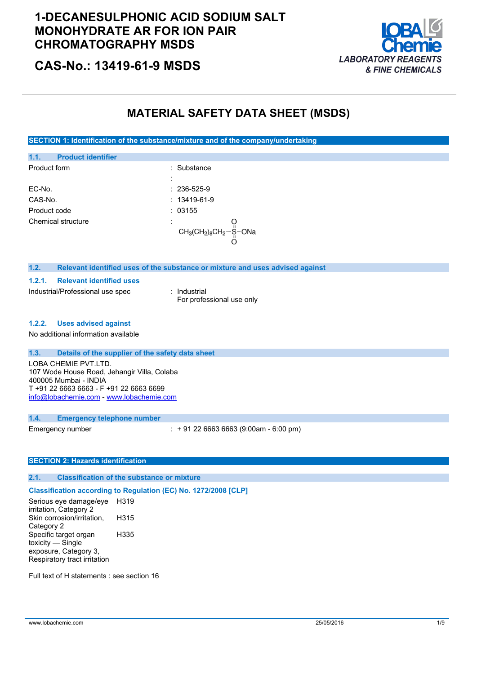

# **CAS-No.: 13419-61-9 MSDS**

## **MATERIAL SAFETY DATA SHEET (MSDS)**

**SECTION 1: Identification of the substance/mixture and of the company/undertaking**

| 1.1.         | <b>Product identifier</b> |                                      |  |
|--------------|---------------------------|--------------------------------------|--|
| Product form |                           | : Substance                          |  |
|              |                           |                                      |  |
| EC-No.       |                           | $: 236 - 525 - 9$                    |  |
| CAS-No.      |                           | $: 13419 - 61 - 9$                   |  |
| Product code |                           | :03155                               |  |
|              | Chemical structure        | $\blacksquare$                       |  |
|              |                           | $CH_3CH_2)_8CH_2-\frac{11}{11}$ -ONa |  |
|              |                           |                                      |  |

#### **1.2. Relevant identified uses of the substance or mixture and uses advised against**

**1.2.1. Relevant identified uses**

Industrial/Professional use spec : Industrial

For professional use only

#### **1.2.2. Uses advised against**

No additional information available

### **1.3. Details of the supplier of the safety data sheet**

LOBA CHEMIE PVT.LTD. 107 Wode House Road, Jehangir Villa, Colaba 400005 Mumbai - INDIA T +91 22 6663 6663 - F +91 22 6663 6699 [info@lobachemie.com](mailto:info@lobachemie.com) - <www.lobachemie.com>

#### **1.4. Emergency telephone number**

Emergency number : + 91 22 6663 6663 (9:00am - 6:00 pm)

### **SECTION 2: Hazards identification**

#### **2.1. Classification of the substance or mixture**

### **Classification according to Regulation (EC) No. 1272/2008 [CLP]**

Serious eye damage/eye irritation, Category 2 H319 Skin corrosion/irritation, Category 2 H315 Specific target organ toxicity — Single exposure, Category 3, Respiratory tract irritation H335

Full text of H statements : see section 16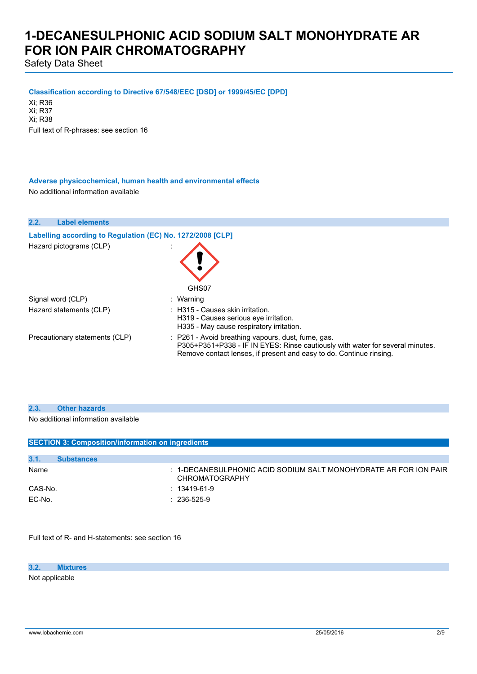Safety Data Sheet

**Classification according to Directive 67/548/EEC [DSD] or 1999/45/EC [DPD]**

Xi; R36 Xi; R37 Xi; R38

Full text of R-phrases: see section 16

**Adverse physicochemical, human health and environmental effects** No additional information available

| 2.2. | <b>Label elements</b>                                      |                                                                                                                                                                                                            |
|------|------------------------------------------------------------|------------------------------------------------------------------------------------------------------------------------------------------------------------------------------------------------------------|
|      | Labelling according to Regulation (EC) No. 1272/2008 [CLP] |                                                                                                                                                                                                            |
|      | Hazard pictograms (CLP)                                    | GHS07                                                                                                                                                                                                      |
|      | Signal word (CLP)                                          | : Warning                                                                                                                                                                                                  |
|      | Hazard statements (CLP)                                    | $\pm$ H315 - Causes skin irritation.<br>H319 - Causes serious eve irritation.<br>H335 - May cause respiratory irritation.                                                                                  |
|      | Precautionary statements (CLP)                             | : P261 - Avoid breathing vapours, dust, fume, gas.<br>P305+P351+P338 - IF IN EYES: Rinse cautiously with water for several minutes.<br>Remove contact lenses, if present and easy to do. Continue rinsing. |

| 2.3.<br><b>Other hazards</b> |  |
|------------------------------|--|
|------------------------------|--|

No additional information available

| <b>SECTION 3: Composition/information on ingredients</b> |                   |                                                                                               |  |
|----------------------------------------------------------|-------------------|-----------------------------------------------------------------------------------------------|--|
|                                                          |                   |                                                                                               |  |
| 3.1.                                                     | <b>Substances</b> |                                                                                               |  |
| Name                                                     |                   | $\pm$ 1-DECANESULPHONIC ACID SODIUM SALT MONOHYDRATE AR FOR ION PAIR<br><b>CHROMATOGRAPHY</b> |  |
| CAS-No.                                                  |                   | : 13419-61-9                                                                                  |  |
| EC-No.                                                   |                   | $: 236 - 525 - 9$                                                                             |  |

Full text of R- and H-statements: see section 16

#### **3.2. Mixtures**

Not applicable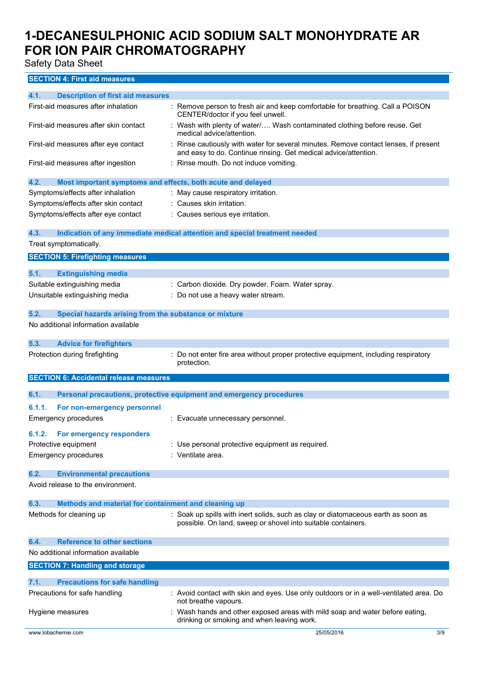Safety Data Sheet

## **SECTION 4: First aid measures**

| 4.1.<br><b>Description of first aid measures</b>                    |                                                                                                                                                       |
|---------------------------------------------------------------------|-------------------------------------------------------------------------------------------------------------------------------------------------------|
| First-aid measures after inhalation                                 | Remove person to fresh air and keep comfortable for breathing. Call a POISON<br>CENTER/doctor if you feel unwell.                                     |
| First-aid measures after skin contact                               | : Wash with plenty of water/ Wash contaminated clothing before reuse. Get<br>medical advice/attention.                                                |
| First-aid measures after eye contact                                | Rinse cautiously with water for several minutes. Remove contact lenses, if present<br>and easy to do. Continue rinsing. Get medical advice/attention. |
| First-aid measures after ingestion                                  | : Rinse mouth. Do not induce vomiting.                                                                                                                |
| 4.2.<br>Most important symptoms and effects, both acute and delayed |                                                                                                                                                       |
| Symptoms/effects after inhalation                                   | : May cause respiratory irritation.                                                                                                                   |
| Symptoms/effects after skin contact                                 | : Causes skin irritation.                                                                                                                             |
| Symptoms/effects after eye contact                                  | : Causes serious eye irritation.                                                                                                                      |
| 4.3.                                                                | Indication of any immediate medical attention and special treatment needed                                                                            |
| Treat symptomatically.                                              |                                                                                                                                                       |
| <b>SECTION 5: Firefighting measures</b>                             |                                                                                                                                                       |
| 5.1.<br><b>Extinguishing media</b>                                  |                                                                                                                                                       |
| Suitable extinguishing media                                        | Carbon dioxide. Dry powder. Foam. Water spray.                                                                                                        |
| Unsuitable extinguishing media                                      | Do not use a heavy water stream.                                                                                                                      |
|                                                                     |                                                                                                                                                       |
| 5.2.<br>Special hazards arising from the substance or mixture       |                                                                                                                                                       |
| No additional information available                                 |                                                                                                                                                       |
| <b>Advice for firefighters</b><br>5.3.                              |                                                                                                                                                       |
| Protection during firefighting                                      | Do not enter fire area without proper protective equipment, including respiratory<br>protection.                                                      |
| <b>SECTION 6: Accidental release measures</b>                       |                                                                                                                                                       |
| 6.1.                                                                | Personal precautions, protective equipment and emergency procedures                                                                                   |
| 6.1.1.<br>For non-emergency personnel                               |                                                                                                                                                       |
| <b>Emergency procedures</b>                                         | : Evacuate unnecessary personnel.                                                                                                                     |
|                                                                     |                                                                                                                                                       |
| 6.1.2.<br>For emergency responders                                  |                                                                                                                                                       |
| Protective equipment                                                | : Use personal protective equipment as required.                                                                                                      |
| <b>Emergency procedures</b>                                         | : Ventilate area.                                                                                                                                     |
| <b>Environmental precautions</b><br>6.2.                            |                                                                                                                                                       |
| Avoid release to the environment.                                   |                                                                                                                                                       |
| 6.3.<br>Methods and material for containment and cleaning up        |                                                                                                                                                       |
| Methods for cleaning up                                             | : Soak up spills with inert solids, such as clay or diatomaceous earth as soon as<br>possible. On land, sweep or shovel into suitable containers.     |
| <b>Reference to other sections</b><br>6.4.                          |                                                                                                                                                       |
| No additional information available                                 |                                                                                                                                                       |
| <b>SECTION 7: Handling and storage</b>                              |                                                                                                                                                       |
| <b>Precautions for safe handling</b><br>7.1.                        |                                                                                                                                                       |
| Precautions for safe handling                                       | : Avoid contact with skin and eyes. Use only outdoors or in a well-ventilated area. Do                                                                |
|                                                                     | not breathe vapours.                                                                                                                                  |
| Hygiene measures                                                    | : Wash hands and other exposed areas with mild soap and water before eating,<br>drinking or smoking and when leaving work.                            |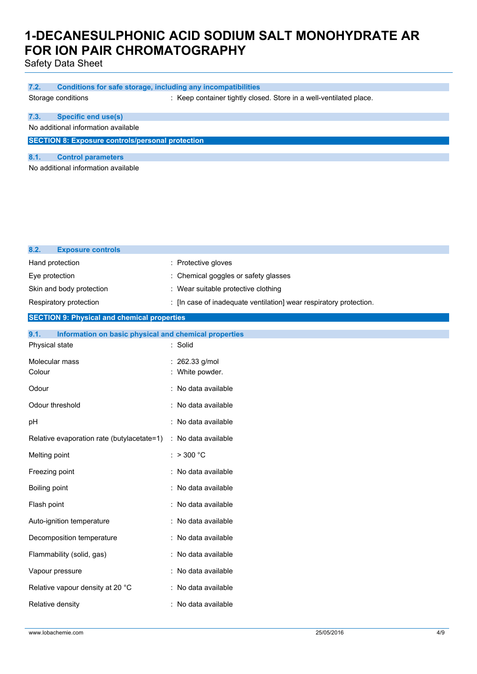Safety Data Sheet

| 7.2. | Conditions for safe storage, including any incompatibilities |                                                                    |
|------|--------------------------------------------------------------|--------------------------------------------------------------------|
|      | Storage conditions                                           | : Keep container tightly closed. Store in a well-ventilated place. |
| 7.3. | <b>Specific end use(s)</b>                                   |                                                                    |
|      | No additional information available                          |                                                                    |
|      | <b>SECTION 8: Exposure controls/personal protection</b>      |                                                                    |
| 8.1  | <b>Control parameters</b>                                    |                                                                    |

No additional information available

| 8.2.<br><b>Exposure controls</b>                              |                                                                    |
|---------------------------------------------------------------|--------------------------------------------------------------------|
| Hand protection                                               | : Protective gloves                                                |
| Eye protection                                                | : Chemical goggles or safety glasses                               |
| Skin and body protection                                      | : Wear suitable protective clothing                                |
| Respiratory protection                                        | : [In case of inadequate ventilation] wear respiratory protection. |
| <b>SECTION 9: Physical and chemical properties</b>            |                                                                    |
| 9.1.<br>Information on basic physical and chemical properties |                                                                    |
| Physical state                                                | : Solid                                                            |
| Molecular mass                                                | : 262.33 g/mol                                                     |
| Colour                                                        | White powder.                                                      |
| Odour                                                         | : No data available                                                |
| Odour threshold                                               | : No data available                                                |
| pH                                                            | : No data available                                                |
| Relative evaporation rate (butylacetate=1)                    | : No data available                                                |
| Melting point                                                 | : $> 300 °C$                                                       |
| Freezing point                                                | : No data available                                                |
| Boiling point                                                 | : No data available                                                |
| Flash point                                                   | : No data available                                                |
| Auto-ignition temperature                                     | : No data available                                                |
| Decomposition temperature                                     | : No data available                                                |
| Flammability (solid, gas)                                     | : No data available                                                |
| Vapour pressure                                               | : No data available                                                |
| Relative vapour density at 20 °C                              | : No data available                                                |
| Relative density                                              | : No data available                                                |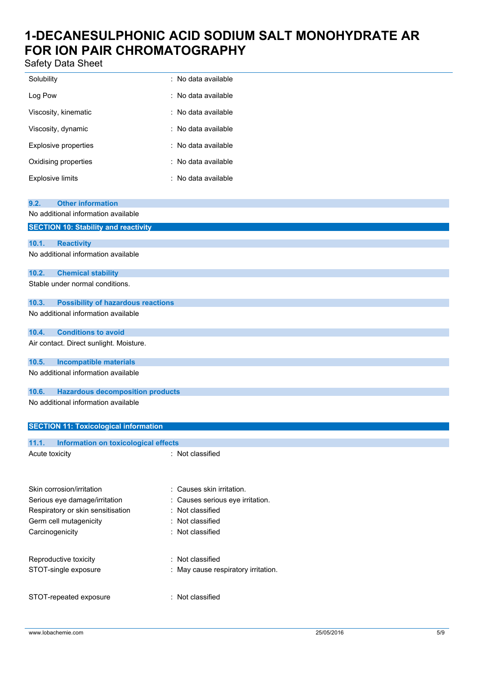Safety Data Sheet

| Jaicly Dala Jilccl                                   |                                  |
|------------------------------------------------------|----------------------------------|
| Solubility                                           | : No data available              |
| Log Pow                                              | : No data available              |
| Viscosity, kinematic                                 | : No data available              |
| Viscosity, dynamic                                   | : No data available              |
| <b>Explosive properties</b>                          | : No data available              |
| Oxidising properties                                 | : No data available              |
| <b>Explosive limits</b>                              | : No data available              |
| <b>Other information</b><br>9.2.                     |                                  |
| No additional information available                  |                                  |
| <b>SECTION 10: Stability and reactivity</b>          |                                  |
| 10.1.<br><b>Reactivity</b>                           |                                  |
| No additional information available                  |                                  |
| 10.2.<br><b>Chemical stability</b>                   |                                  |
| Stable under normal conditions.                      |                                  |
| 10.3.<br><b>Possibility of hazardous reactions</b>   |                                  |
| No additional information available                  |                                  |
| <b>Conditions to avoid</b><br>10.4.                  |                                  |
| Air contact. Direct sunlight. Moisture.              |                                  |
| <b>Incompatible materials</b><br>10.5.               |                                  |
| No additional information available                  |                                  |
| 10.6.<br><b>Hazardous decomposition products</b>     |                                  |
| No additional information available                  |                                  |
| <b>SECTION 11: Toxicological information</b>         |                                  |
| 11.1.<br><b>Information on toxicological effects</b> |                                  |
| Acute toxicity                                       | : Not classified                 |
|                                                      |                                  |
| Skin corrosion/irritation                            | : Causes skin irritation.        |
| Serious eye damage/irritation                        | : Causes serious eye irritation. |

| Germ cell mutagenicity | : Not classified                    |
|------------------------|-------------------------------------|
| Carcinogenicity        | : Not classified                    |
|                        |                                     |
| Reproductive toxicity  | : Not classified                    |
| STOT-single exposure   | : May cause respiratory irritation. |
|                        |                                     |
| STOT-repeated exposure | : Not classified                    |

Respiratory or skin sensitisation : Not classified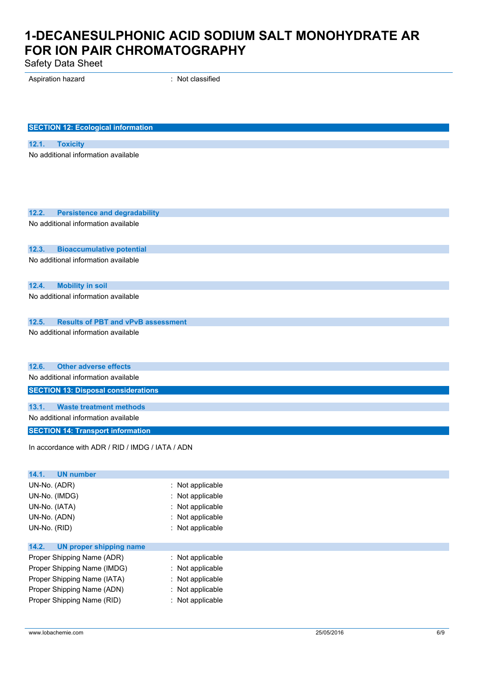Safety Data Sheet

Aspiration hazard **in the set of the set of the set of the set of the set of the set of the set of the set of the set of the set of the set of the set of the set of the set of the set of the set of the set of the set of th** 

| <b>SECTION 12: Ecological information</b>                                                 |                  |
|-------------------------------------------------------------------------------------------|------------------|
|                                                                                           |                  |
| <b>Toxicity</b><br>12.1.                                                                  |                  |
| No additional information available                                                       |                  |
|                                                                                           |                  |
|                                                                                           |                  |
|                                                                                           |                  |
| 12.2.<br><b>Persistence and degradability</b>                                             |                  |
| No additional information available                                                       |                  |
|                                                                                           |                  |
|                                                                                           |                  |
| 12.3.<br><b>Bioaccumulative potential</b><br>No additional information available          |                  |
|                                                                                           |                  |
|                                                                                           |                  |
| 12.4.<br><b>Mobility in soil</b><br>No additional information available                   |                  |
|                                                                                           |                  |
|                                                                                           |                  |
| 12.5.<br><b>Results of PBT and vPvB assessment</b><br>No additional information available |                  |
|                                                                                           |                  |
|                                                                                           |                  |
| <b>Other adverse effects</b><br>12.6.                                                     |                  |
| No additional information available                                                       |                  |
| <b>SECTION 13: Disposal considerations</b>                                                |                  |
|                                                                                           |                  |
| 13.1.<br><b>Waste treatment methods</b>                                                   |                  |
| No additional information available                                                       |                  |
| <b>SECTION 14: Transport information</b>                                                  |                  |
| In accordance with ADR / RID / IMDG / IATA / ADN                                          |                  |
|                                                                                           |                  |
| 14.1.<br><b>UN number</b>                                                                 |                  |
| UN-No. (ADR)                                                                              | : Not applicable |
| UN-No. (IMDG)                                                                             | Not applicable   |
| UN-No. (IATA)                                                                             | Not applicable   |
| UN-No. (ADN)                                                                              | Not applicable   |
| UN-No. (RID)                                                                              | : Not applicable |
| 14.2.<br><b>UN proper shipping name</b>                                                   |                  |
| Proper Shipping Name (ADR)                                                                | Not applicable   |
| Proper Shipping Name (IMDG)                                                               | Not applicable   |
| Proper Shipping Name (IATA)                                                               | Not applicable   |
| Proper Shipping Name (ADN)                                                                | Not applicable   |

Proper Shipping Name (RID) : Not applicable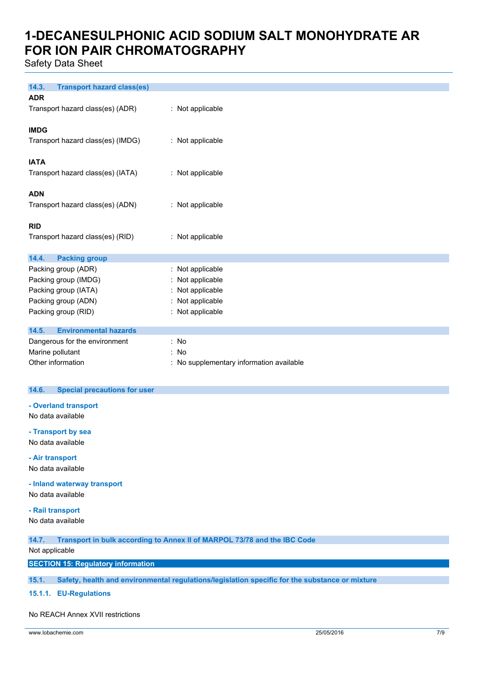Safety Data Sheet

| 14.3.<br><b>Transport hazard class(es)</b> |                                          |
|--------------------------------------------|------------------------------------------|
| <b>ADR</b>                                 |                                          |
| Transport hazard class(es) (ADR)           | : Not applicable                         |
|                                            |                                          |
| <b>IMDG</b>                                |                                          |
| Transport hazard class(es) (IMDG)          | : Not applicable                         |
|                                            |                                          |
| <b>IATA</b>                                |                                          |
| Transport hazard class(es) (IATA)          | : Not applicable                         |
|                                            |                                          |
| <b>ADN</b>                                 |                                          |
|                                            |                                          |
| Transport hazard class(es) (ADN)           | : Not applicable                         |
| <b>RID</b>                                 |                                          |
| Transport hazard class(es) (RID)           | : Not applicable                         |
|                                            |                                          |
| 14.4.<br><b>Packing group</b>              |                                          |
| Packing group (ADR)                        | : Not applicable                         |
| Packing group (IMDG)                       | : Not applicable                         |
| Packing group (IATA)                       | : Not applicable                         |
| Packing group (ADN)                        | : Not applicable                         |
| Packing group (RID)                        | : Not applicable                         |
|                                            |                                          |
| <b>Environmental hazards</b><br>14.5.      |                                          |
| Dangerous for the environment              | : No                                     |
| Marine pollutant<br>: No                   |                                          |
| Other information                          | : No supplementary information available |

### **14.6. Special precautions for user**

- **- Overland transport** No data available
- **- Transport by sea**

No data available

**- Air transport** No data available

**- Inland waterway transport**

No data available

#### **- Rail transport**

No data available

**14.7. Transport in bulk according to Annex II of MARPOL 73/78 and the IBC Code**

### Not applicable

**SECTION 15: Regulatory information**

**15.1. Safety, health and environmental regulations/legislation specific for the substance or mixture**

**15.1.1. EU-Regulations**

#### No REACH Annex XVII restrictions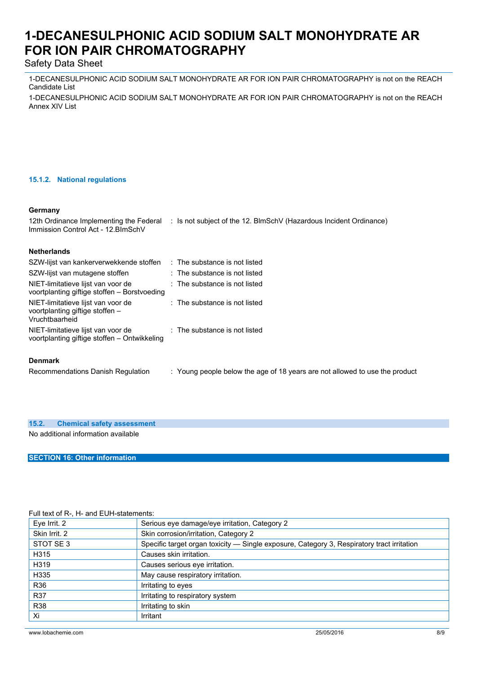## Safety Data Sheet

1-DECANESULPHONIC ACID SODIUM SALT MONOHYDRATE AR FOR ION PAIR CHROMATOGRAPHY is not on the REACH Candidate List

1-DECANESULPHONIC ACID SODIUM SALT MONOHYDRATE AR FOR ION PAIR CHROMATOGRAPHY is not on the REACH Annex XIV List

### **15.1.2. National regulations**

#### **Germany**

12th Ordinance Implementing the Federal : Is not subject of the 12. BlmSchV (Hazardous Incident Ordinance) Immission Control Act - 12.BImSchV

| <b>Netherlands</b>                                                                      |                                                                             |
|-----------------------------------------------------------------------------------------|-----------------------------------------------------------------------------|
| SZW-lijst van kankerverwekkende stoffen                                                 | $\therefore$ The substance is not listed                                    |
| SZW-lijst van mutagene stoffen                                                          | : The substance is not listed                                               |
| NIET-limitatieve lijst van voor de<br>voortplanting giftige stoffen – Borstvoeding      | $\therefore$ The substance is not listed                                    |
| NIET-limitatieve lijst van voor de<br>voortplanting giftige stoffen -<br>Vruchtbaarheid | $:$ The substance is not listed                                             |
| NIET-limitatieve lijst van voor de<br>voortplanting giftige stoffen - Ontwikkeling      | $\therefore$ The substance is not listed                                    |
| <b>Denmark</b>                                                                          |                                                                             |
| Recommendations Danish Regulation                                                       | : Young people below the age of 18 years are not allowed to use the product |

### **15.2. Chemical safety assessment**

No additional information available

**SECTION 16: Other information**

### Full text of R-, H- and EUH-statements:

| Eye Irrit. 2  | Serious eye damage/eye irritation, Category 2                                              |
|---------------|--------------------------------------------------------------------------------------------|
| Skin Irrit, 2 | Skin corrosion/irritation, Category 2                                                      |
| STOT SE 3     | Specific target organ toxicity - Single exposure, Category 3, Respiratory tract irritation |
| H315          | Causes skin irritation.                                                                    |
| H319          | Causes serious eye irritation.                                                             |
| H335          | May cause respiratory irritation.                                                          |
| R36           | Irritating to eyes                                                                         |
| <b>R37</b>    | Irritating to respiratory system                                                           |
| <b>R38</b>    | Irritating to skin                                                                         |
| Xi            | Irritant                                                                                   |